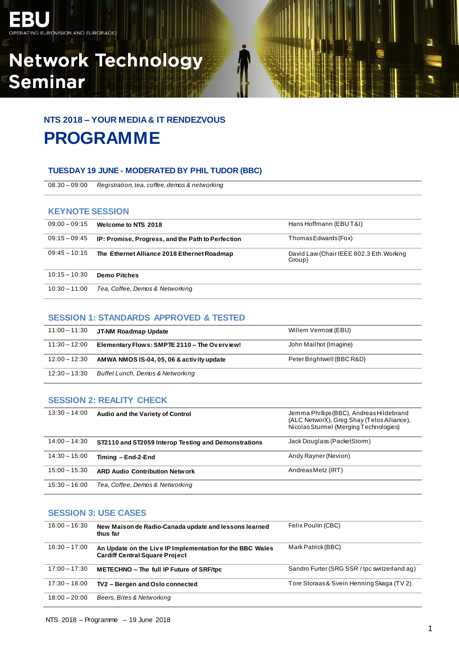

# **Network Technology Seminar**

### **NTS 2018 – YOUR MEDIA & IT RENDEZVOUS PROGRAMME**

#### **TUESDAY 19 JUNE - MODERATED BY PHIL TUDOR (BBC)**

08.30 – 09:00 *Registration, tea, coffee, demos & networking*

#### **KEYNOTE SESSION**

| $09:00 - 09:15$ | Welcome to NTS 2018                               | Hans Hoffmann (EBUT&I)                             |
|-----------------|---------------------------------------------------|----------------------------------------------------|
| $09:15 - 09:45$ | IP: Promise, Progress, and the Path to Perfection | Thomas Edwards (Fox)                               |
| $09:45 - 10:15$ | The Ethernet Alliance 2018 Ethernet Roadmap       | David Law (Chair IEEE 802.3 Eth. Working<br>Group) |
| $10:15 - 10:30$ | <b>Demo Pitches</b>                               |                                                    |
| $10:30 - 11:00$ | Tea, Coffee, Demos & Networking                   |                                                    |

#### **SESSION 1: STANDARDS APPROVED & TESTED**

| 11:00 – 11:30   | JT-NM Roadmap Update                         | Willem Vermost (EBU)       |
|-----------------|----------------------------------------------|----------------------------|
| $11:30 - 12:00$ | Elementary Flows: SMPTE 2110 - The Overview! | John Mailhot (Imagine)     |
| $12:00 - 12:30$ | AMWA NMOS IS-04, 05, 06 & activity update    | Peter Brightwell (BBC R&D) |
| $12:30 - 13:30$ | <b>Buffet Lunch, Demos &amp; Networking</b>  |                            |

#### **SESSION 2: REALITY CHECK**

| $13:30 - 14:00$ | Audio and the Variety of Control                     | Jemma Phillips (BBC), Andreas Hildebrand<br>(ALC NetworX), Greg Shay (Telos Alliance),<br>Nicolas Sturmel (Merging Technologies) |
|-----------------|------------------------------------------------------|----------------------------------------------------------------------------------------------------------------------------------|
| $14:00 - 14:30$ | ST2110 and ST2059 Interop Testing and Demonstrations | Jack Douglass (PacketStorm)                                                                                                      |
| $14:30 - 15:00$ | Timing - End-2-End                                   | Andy Rayner (Nevion)                                                                                                             |
| $15:00 - 15:30$ | <b>ARD Audio Contribution Network</b>                | AndreasMetz (IRT)                                                                                                                |
| $15:30 - 16:00$ | Tea, Coffee, Demos & Networking                      |                                                                                                                                  |

#### **SESSION 3: USE CASES**

| $16:00 - 16:30$ | New Maison de Radio-Canada update and lessons learned<br>thus far                                  | Felix Poulin (CBC)                           |
|-----------------|----------------------------------------------------------------------------------------------------|----------------------------------------------|
| $16:30 - 17:00$ | An Update on the Live IP Implementation for the BBC Wales<br><b>Cardiff Central Square Project</b> | Mark Patrick (BBC)                           |
| $17:00 - 17:30$ | <b>METECHNO</b> – The full IP Future of SRF/tpc                                                    | Sandro Furter (SRG SSR / tpc switzerland ag) |
| $17:30 - 18:00$ | TV2 - Bergen and Oslo connected                                                                    | Tore Storaas & Svein Henning Skaga (TV 2)    |
| $18:00 - 20:00$ | Beers, Bites & Networking                                                                          |                                              |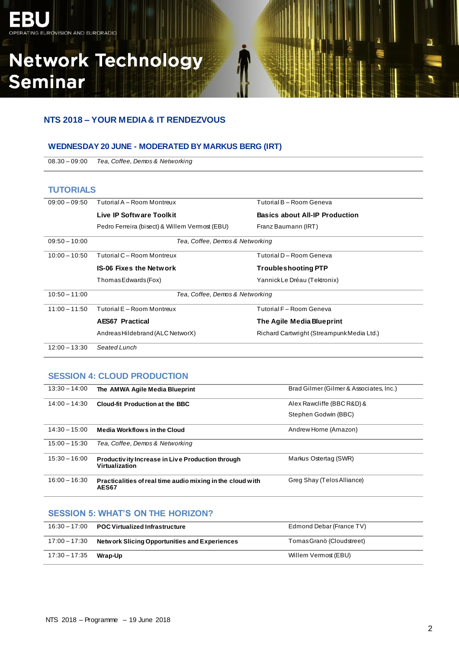## **Network Technology Seminar**

#### **NTS 2018 – YOUR MEDIA & IT RENDEZVOUS**

#### **WEDNESDAY 20 JUNE - MODERATED BY MARKUS BERG (IRT)**

08.30 – 09:00 *Tea, Coffee, Demos & Networking*

#### **TUTORIALS**

| $09:00 - 09:50$ | Tutorial A - Room Montreux                     | Tutorial B - Room Geneva                   |
|-----------------|------------------------------------------------|--------------------------------------------|
|                 | Live IP Software Toolkit                       | <b>Basics about All-IP Production</b>      |
|                 | Pedro Ferreira (bisect) & Willem Vermost (EBU) | Franz Baumann (IRT)                        |
| $09:50 - 10:00$ | Tea, Coffee, Demos & Networking                |                                            |
| $10:00 - 10:50$ | Tutorial C - Room Montreux                     | Tutorial D - Room Geneva                   |
|                 | <b>IS-06 Fixes the Network</b>                 | <b>Troubleshooting PTP</b>                 |
|                 | ThomasEdwards(Fox)                             | Yannick Le Dréau (Tektronix)               |
| $10:50 - 11:00$ | Tea, Coffee, Demos & Networking                |                                            |
| $11:00 - 11:50$ | Tutorial E - Room Montreux                     | Tutorial F - Room Geneva                   |
|                 | <b>AES67 Practical</b>                         | The Agile Media Blueprint                  |
|                 | Andreas Hildebrand (ALC NetworX)               | Richard Cartwright (Streampunk Media Ltd.) |
| $12:00 - 13:30$ | Seated Lunch                                   |                                            |

#### **SESSION 4: CLOUD PRODUCTION**

| $13:30 - 14:00$ | The AMWA Agile Media Blueprint                                      | Brad Gilmer (Gilmer & Associates, Inc.) |
|-----------------|---------------------------------------------------------------------|-----------------------------------------|
| $14:00 - 14:30$ | Cloud-fit Production at the BBC                                     | Alex Rawcliffe (BBC R&D) &              |
|                 |                                                                     | Stephen Godwin (BBC)                    |
| $14:30 - 15:00$ | <b>Media Workflows in the Cloud</b>                                 | Andrew Horne (Amazon)                   |
| $15:00 - 15:30$ | Tea, Coffee, Demos & Networking                                     |                                         |
| $15:30 - 16:00$ | Productivity Increase in Live Production through<br>Virtualization  | Markus Ostertag (SWR)                   |
| $16:00 - 16:30$ | Practicalities of real time audio mixing in the cloud with<br>AES67 | Greg Shay (Telos Alliance)              |

#### **SESSION 5: WHAT'S ON THE HORIZON?**

|                       | $16:30 - 17:00$ POC Virtualized Infrastructure                | Edmond Debar (France TV)  |
|-----------------------|---------------------------------------------------------------|---------------------------|
|                       | $17:00 - 17:30$ Network Slicing Opportunities and Experiences | Tomas Grano (Cloudstreet) |
| 17:30 – 17:35 Wrap-Up |                                                               | Willem Vermost (EBU)      |